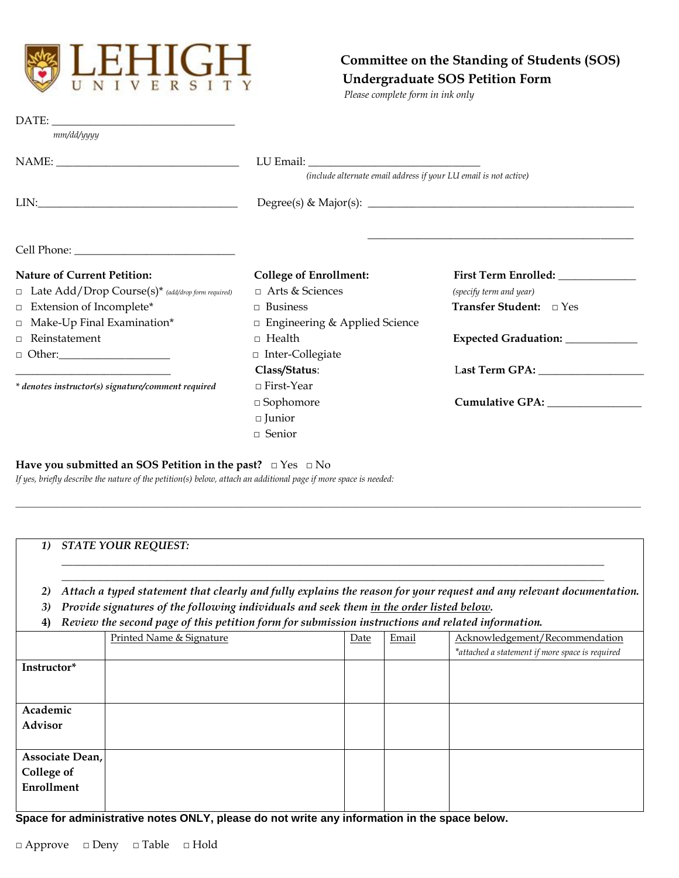

## **Committee on the Standing of Students (SOS) Undergraduate SOS Petition Form**

*Please complete form in ink only*

| DATE:                                                                                                                                                                                                                                                                                                                                                                                                                                   |                                                                  |                                   |  |  |  |
|-----------------------------------------------------------------------------------------------------------------------------------------------------------------------------------------------------------------------------------------------------------------------------------------------------------------------------------------------------------------------------------------------------------------------------------------|------------------------------------------------------------------|-----------------------------------|--|--|--|
| mm/dd/yyyy                                                                                                                                                                                                                                                                                                                                                                                                                              |                                                                  |                                   |  |  |  |
|                                                                                                                                                                                                                                                                                                                                                                                                                                         |                                                                  |                                   |  |  |  |
|                                                                                                                                                                                                                                                                                                                                                                                                                                         | (include alternate email address if your LU email is not active) |                                   |  |  |  |
| $LIN: \begin{tabular}{ c c c c } \hline \multicolumn{3}{ c }{LIN:} \multicolumn{3}{ c }{\hline} \multicolumn{3}{ c }{\hline} \multicolumn{3}{ c }{\hline} \multicolumn{3}{ c }{\hline} \multicolumn{3}{ c }{\hline} \multicolumn{3}{ c }{\hline} \multicolumn{3}{ c }{\hline} \multicolumn{3}{ c }{\hline} \multicolumn{3}{ c }{\hline} \multicolumn{3}{ c }{\hline} \multicolumn{3}{ c }{\hline} \multicolumn{3}{ c }{\hline} \multic$ |                                                                  |                                   |  |  |  |
|                                                                                                                                                                                                                                                                                                                                                                                                                                         |                                                                  |                                   |  |  |  |
| <b>Nature of Current Petition:</b>                                                                                                                                                                                                                                                                                                                                                                                                      | <b>College of Enrollment:</b>                                    |                                   |  |  |  |
| $\Box$ Late Add/Drop Course(s)* (add/drop form required)                                                                                                                                                                                                                                                                                                                                                                                | $\Box$ Arts & Sciences                                           | (specify term and year)           |  |  |  |
| $\Box$ Extension of Incomplete*                                                                                                                                                                                                                                                                                                                                                                                                         | $\Box$ Business                                                  | Transfer Student: □ Yes           |  |  |  |
| $\Box$ Make-Up Final Examination*                                                                                                                                                                                                                                                                                                                                                                                                       | $\Box$ Engineering & Applied Science                             |                                   |  |  |  |
| $\Box$ Reinstatement                                                                                                                                                                                                                                                                                                                                                                                                                    | $\Box$ Health                                                    | Expected Graduation: ____________ |  |  |  |
|                                                                                                                                                                                                                                                                                                                                                                                                                                         | $\Box$ Inter-Collegiate                                          |                                   |  |  |  |
|                                                                                                                                                                                                                                                                                                                                                                                                                                         | Class/Status:                                                    |                                   |  |  |  |
| * denotes instructor(s) signature/comment required                                                                                                                                                                                                                                                                                                                                                                                      | □ First-Year                                                     |                                   |  |  |  |
|                                                                                                                                                                                                                                                                                                                                                                                                                                         | $\Box$ Sophomore                                                 |                                   |  |  |  |
|                                                                                                                                                                                                                                                                                                                                                                                                                                         | $\Box$ Junior                                                    |                                   |  |  |  |
|                                                                                                                                                                                                                                                                                                                                                                                                                                         | $\Box$ Senior                                                    |                                   |  |  |  |

## **Have you submitted an SOS Petition in the past?** □ Yes □ No

*If yes, briefly describe the nature of the petition(s) below, attach an additional page if more space is needed:*

| 1) STATE YOUR REQUEST: |  |
|------------------------|--|
|------------------------|--|

*\_\_\_\_\_\_\_\_\_\_\_\_\_\_\_\_\_\_\_\_\_\_\_\_\_\_\_\_\_\_\_\_\_\_\_\_\_\_\_\_\_\_\_\_\_\_\_\_\_\_\_\_\_\_\_\_\_\_\_\_\_\_\_\_\_\_\_\_\_\_\_\_\_\_\_\_\_\_\_\_\_\_\_\_\_\_\_\_\_\_\_\_\_\_\_\_\_\_ 2) Attach a typed statement that clearly and fully explains the reason for your request and any relevant documentation.*

*\_\_\_\_\_\_\_\_\_\_\_\_\_\_\_\_\_\_\_\_\_\_\_\_\_\_\_\_\_\_\_\_\_\_\_\_\_\_\_\_\_\_\_\_\_\_\_\_\_\_\_\_\_\_\_\_\_\_\_\_\_\_\_\_\_\_\_\_\_\_\_\_\_\_\_\_\_\_\_\_\_\_\_\_\_\_\_\_\_\_\_\_\_\_\_\_\_\_*

*\_\_\_\_\_\_\_\_\_\_\_\_\_\_\_\_\_\_\_\_\_\_\_\_\_\_\_\_\_\_\_\_\_\_\_\_\_\_\_\_\_\_\_\_\_\_\_\_\_\_\_\_\_\_\_\_\_\_\_\_\_\_\_\_\_\_\_\_\_\_\_\_\_\_\_\_\_\_\_\_\_\_\_\_\_\_\_\_\_\_\_\_\_\_\_\_\_\_\_\_\_\_\_\_\_\_\_\_\_\_\_\_\_\_\_\_\_\_\_\_\_\_\_\_\_\_\_\_\_\_\_\_\_\_\_\_\_\_\_\_\_*

*3) Provide signatures of the following individuals and seek them in the order listed below.*

**4)** *Review the second page of this petition form for submission instructions and related information.*

|                   | Printed Name & Signature | Date | Email | Acknowledgement/Recommendation                  |
|-------------------|--------------------------|------|-------|-------------------------------------------------|
|                   |                          |      |       | *attached a statement if more space is required |
| Instructor*       |                          |      |       |                                                 |
|                   |                          |      |       |                                                 |
|                   |                          |      |       |                                                 |
| Academic          |                          |      |       |                                                 |
| Advisor           |                          |      |       |                                                 |
|                   |                          |      |       |                                                 |
| Associate Dean,   |                          |      |       |                                                 |
| <b>College of</b> |                          |      |       |                                                 |
| Enrollment        |                          |      |       |                                                 |
|                   |                          |      |       |                                                 |

**Space for administrative notes ONLY, please do not write any information in the space below.**